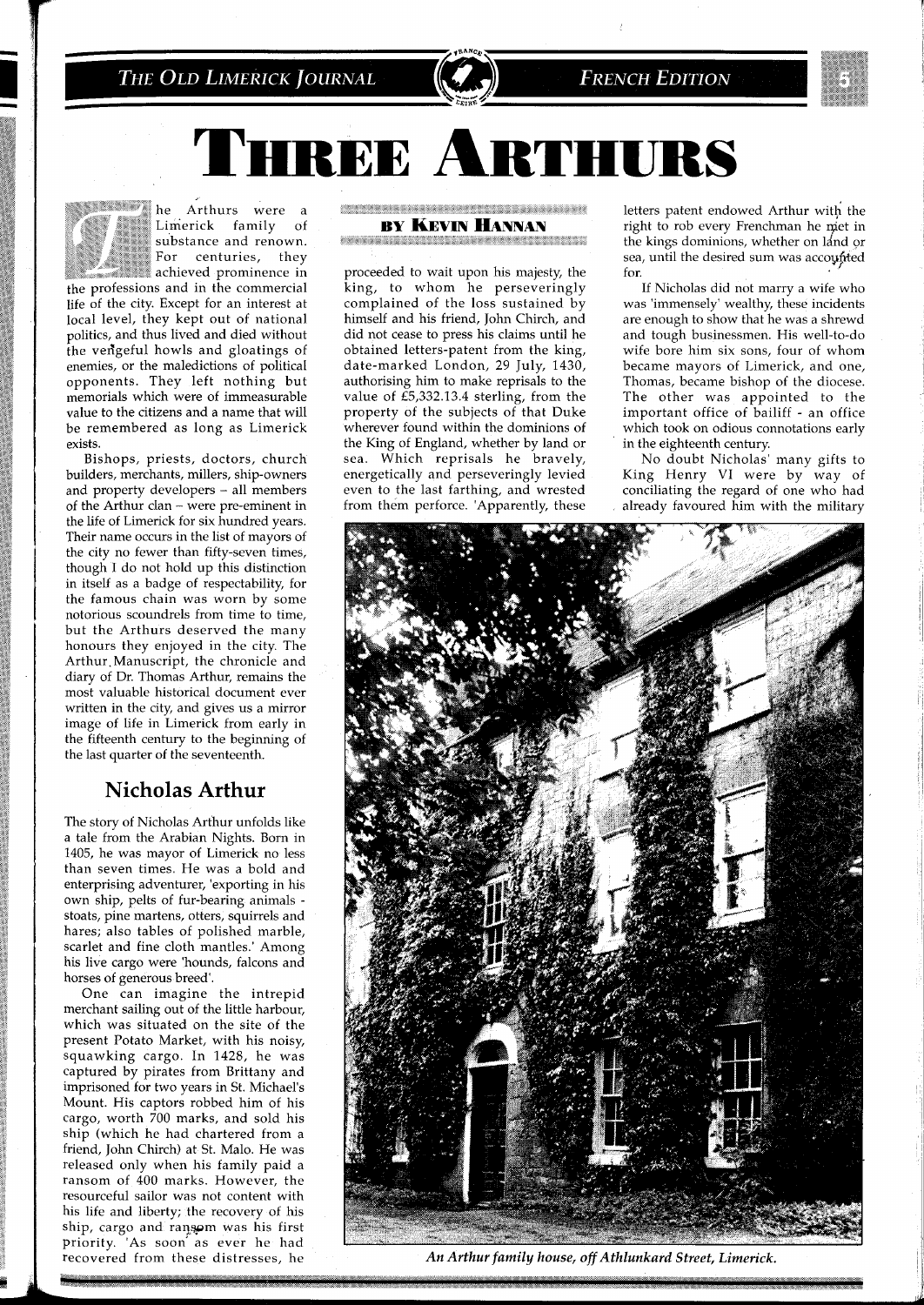#### THE OLD LIMERICK JOURNAL



## **FRENCH EDITION**



IREE ARTHURS



*r**he Arthurs* were a *region region***al** *n <i>r <i>n <i>r***<sub></sub>** *<b><i><i>r <i>n <i>n <i>n <i>n <i>n <i>n**<i>n**<i>n* **<b>***<i>n <i>n <i>n <i>n <i>n <i>n* **<b>***<i>n <i>n <i>n <i>n* Limerick family of substance and renown. For centuries, they  $\blacksquare$  achieved prominence in

*the professions and in the commercial life of the city. Except for an interest at local level, they kept out of national politics, and thus lived and died without the veligeful howls and gloatings of enemies, or the maledictions of political opponents. They left nothing but memorials which were of immeasurable value to the citizens and a name that will be remembered as long as Limerick exists.* 

*Bishops, priests, doctors, church builders, merchants, millers, ship-owners and property developers* - *all members of the Arthur clan* - *were pre-eminent in the life of Limerick for six hundred years. Their name occurs in the list of mayors of the city no fewer than fifty-seven times, though I do not hold up this distinction in itself as a badge of respectability, for the famous chain was worn by some notorious scoundrels from time to time, but the Arthurs deserved the many honours they enjoyed in the city. The Arthur.Manuscript, the chronicle and diary of Dr. Thomas Arthur, remains the most valuable historical document ever written in the city, and gives us a mirror image of life in Limerick from early in the fifteenth century to the beginning of the last quarter of the seventeenth.* 

## **Nicholas Arthur**

*The story of Nicholas Arthur unfolds like a tale from the Arabian Nights. Born in*  1405, *he was mayor of Limerick no less than seven times. He was a bold and enterprising adventurer, 'exporting in his own ship, pelts of fur-bearing animals stoats, pine martens, otters, squirrels and hares; also tables of polished marble, scarlet and fine cloth mantles.' Among his live cargo were 'hounds, falcons and horses of generous breed'.* 

*One can imagine the intrepid merchant sailing out of the little harbour, which was situated on the site of the present Potato Market, with his noisy, squawking cargo. In* 1428, *he was captured by pirates from Brittany and imprisoned for two years in St. Michael's Mount. His captors robbed him of his cargo, worth* 700 *marks, and sold his ship (which he had chartered from a friend, John Chirch) at St. Malo. He was released only when his family paid a ransom of* 400 *marks. However, the resourceful sailor was not content with his life and liberty; the recovery of his ship, cargo and raq.spm was his first priority. 'As soon' as ever he had recoveied from these distresses, he* 

CONSISTER REPORT RESISTANCE AND RELEASE

**BY KEVIN HANNAN** 

*REAL CONSTRUCTION COMMUNISTIES* 

*proceeded to wait upon his majesty, the king, to whom he perseveringly complained of the loss sustained by himself and his friend, John Chirch, and did not cease to press his claims until he obtained letters-patent from the king, date-marked London,* 29 *July,* 1430, *authorising him to make reprisals to the value of* £5,332.13.4 *sterling, from the property of the subjects of that Duke wherever found within the dominions of the King of England, whether by land or sea. Which reprisals he bravely, energetically and perseveringly levied even to the last farthing, and wrested from them perforce. 'Apparently, these* 

*letters patent endowed Arthur with the* right to rob every Frenchman he met in *the kings dominions, whether on ldnd or sea, until the desired sum was accoppted for.* 

*If Nicholas did not marry a wife who was 'immensely' wealthy, these incidents are enough to show that he was a shrewd and tough businessmen. His well-to-do wife bore him six sons, four of whom became mayors of Limerick, and one, Thomas, became bishop of the diocese. The other was appointed to the important office of bailiff* - *an office which took on odious connotations early in the eighteenth century.* 

*No doubt Nicholas' many gifts to King Henry* V1 *were by way of conciliating the regard of one who had already favoured him with the military* 



*An Arthur family house, off Athlunkard Street, Limerick.*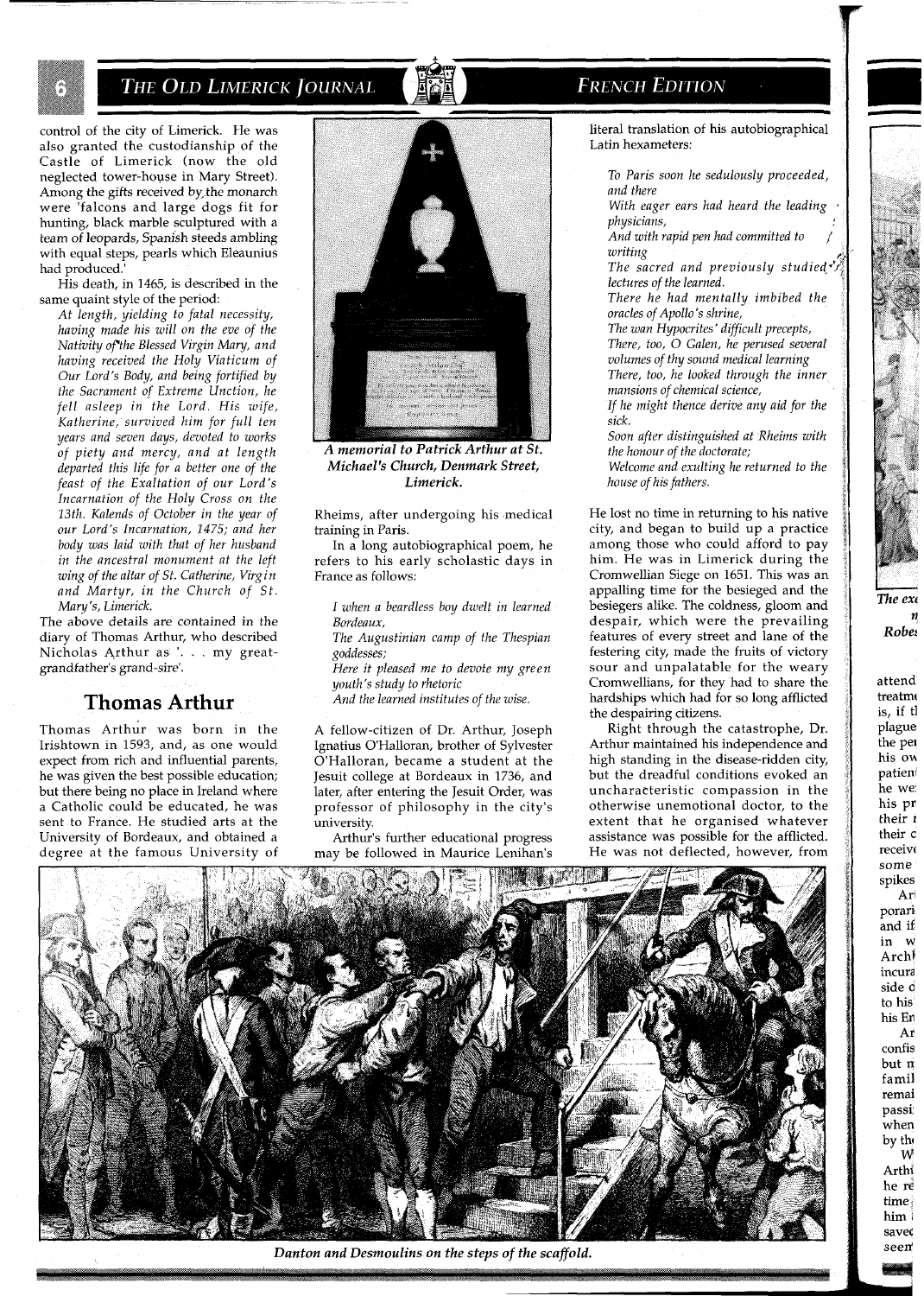THE OLD LIMERICK JOURNAL

control of the city of Limerick. He was also granted the custodianship of the Castle of Limerick (now the old neglected tower-house in Mary Street). Among the gifts received by. the monarch were 'falcons and large dogs fit for hunting, black marble sculptured with a team of leopards, Spanish steeds ambling with equal steps, pearls which Eleaunius had produced.'

His death, in 1465, is described in the same quaint style of the period:

*At length, yielding to fatal necessity, having made his will on the eve of the Nativity ofthe Blessed Virgin Mary, and having received the Holy Viaticum of Our Lord's Body, and being fortified by the Sacrament of Extreme Unction, he fell asleep in the Lord. His wife, Katherine, survived him for full ten years and seven days, devoted to works of piety and mercy, and at length departed this life for a better one of the feast of the Exaltation of our Lord's Incarnation of the Holy Cross on the 13th. Kalends of October in the year of our Lord's Incarnation, 1475; and her body was laid with that of her husband in the ancestral monument at the left wing of the altar of St. Catherine, Virgin and Martyr, in the Church of St. Mary 'S, Limerick.* 

The above details are contained in the diary of Thomas Arthur, who described Nicholas Arthur as '. . . my greatgrandfather's grand-sire'.

## **Thomas Arthur**

Thomas Arthur was born in the Irishtown in 1593, and, as one would expect from rich and influential parents, he was given the best possible education; but there being no place in Ireland where a Catholic could be educated, he was sent to France. He studied arts at the University of Bordeaux, and obtained a degree at the famous University of



A memorial to Patrick Arthur at St. *Michael's Church, Denmark Street, Limerick.* 

Rheims, after undergoing his medical training in Paris.

In a long autobiographical poem, he refers to his early scholastic days in France as follows:

*I when a beardless boy dwelt in learned Bordeaux,* 

*The Augustinian camp of the Thespian goddesses;* 

*Here it pleased me to devote my green youth's study to rhetoric* 

*And the learned institutes of the wise.* 

A fellow-citizen of Dr. Arthur, Joseph Ignatius O'Halloran, brother of Sylvester O'Halloran, became a student at the Jesuit college at Bordeaux in 1736, and later, after entering the Jesuit Order, was professor of philosophy in the city's .<br>university.

Arthur's further educational progress may be followed in Maurice Lenihan's

# **FRENCH EDITION**

literal translation of his autobiographical Latin hexameters:

*To Paris soon he sedulously proceeded, and there* 

*With eager ears had heard the leading physicians,* 

*And with rapid pen had committed to writing* 

*The sacred and previously studied\*" lectures of the learned.* 

*There he had mentally imbibed the oracles of Apollo's shrine,* 

*The wan Hypocrites* ' *difficult precepts, There, too, 0 Galen, he perused several volumes of thy sound medical learning There, too, he looked through the inner mansions of chemical science,* 

*If he might thence derive any aid for the sick.* 

*Soon after distinguished at Rheims with the honour of the doctorate; Welcome and exulting he returned to the house of his fathers.* 

He lost no time in returning to his native city, and began to build up a practice among those who could afford to pay him. He was in Limerick during the Cromwellian Siege on 1651. This was an appalling time for the besieged and the besiegers alike. The coldness, gloom and despair, which were the prevailing features of every street and lane of the festering city, made the fruits of victory sour and unpalatable for the weary Cromwellians, for they had to share the hardships which had for so long afflicted the despairing citizens.

Right through the catastrophe, Dr. Arthur maintained his independence and high standing in the disease-ridden city, but the dreadful conditions evoked an uncharacteristic compassion in the otherwise unemotional doctor, to the extent that he organised whatever assistance was possible for the afflicted. He was not deflected, however, from



*Danton and Desmoulins on the steps of the scaffold.* 

*Robe:*  attend treatmo is, if tl plague the pet his ow patient he we: his pr their I their c receivt some spikes Arl porari' and if in W Archl incura side d to his his En Ar confis but n famil remai passi when by the W Arthi he re time: him I savek seen'

 $\mathbf{r}$ 

The exi